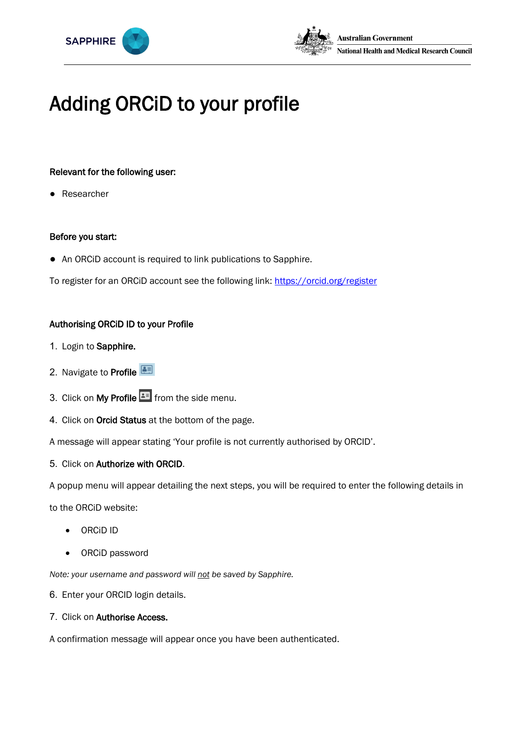



# Adding ORCiD to your profile

# Relevant for the following user:

Researcher

#### Before you start:

● An ORCiD account is required to link publications to Sapphire.

To register for an ORCiD account see the following link: https://orcid.org/register

## Authorising ORCiD ID to your Profile

- 1. Login to Sapphire.
- 2. Navigate to Profile
- 3. Click on My Profile **E** from the side menu.
- 4. Click on Orcid Status at the bottom of the page.

A message will appear stating 'Your profile is not currently authorised by ORCID'.

5. Click on Authorize with ORCID.

A popup menu will appear detailing the next steps, you will be required to enter the following details in

to the ORCiD website:

- ORCiD ID
- ORCiD password

*Note: your username and password will not be saved by Sapphire.* 

- 6. Enter your ORCID login details.
- 7. Click on Authorise Access.

A confirmation message will appear once you have been authenticated.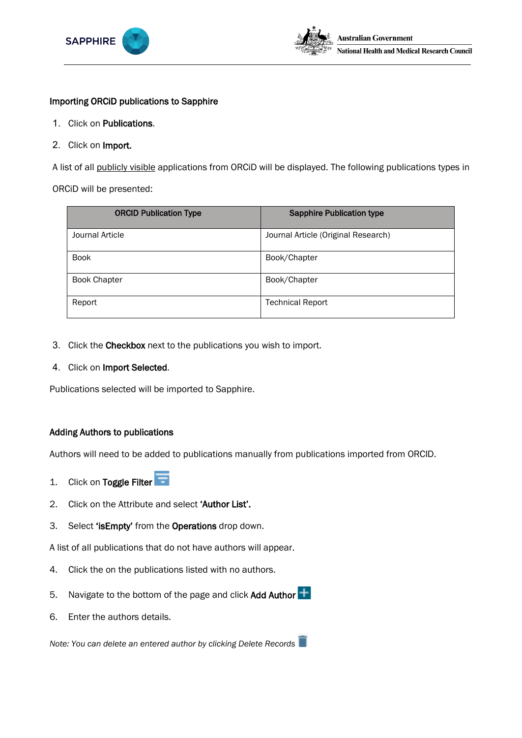



#### Importing ORCiD publications to Sapphire

- 1. Click on Publications.
- 2. Click on Import.

A list of all publicly visible applications from ORCiD will be displayed. The following publications types in

ORCiD will be presented:

| <b>ORCID Publication Type</b> | <b>Sapphire Publication type</b>    |
|-------------------------------|-------------------------------------|
| Journal Article               | Journal Article (Original Research) |
| <b>Book</b>                   | Book/Chapter                        |
| <b>Book Chapter</b>           | Book/Chapter                        |
| Report                        | <b>Technical Report</b>             |

- 3. Click the Checkbox next to the publications you wish to import.
- 4. Click on Import Selected.

Publications selected will be imported to Sapphire.

## Adding Authors to publications

Authors will need to be added to publications manually from publications imported from ORCID.

- 1. Click on Toggle Filter
- 2. Click on the Attribute and select 'Author List'.
- 3. Select 'isEmpty' from the Operations drop down.

A list of all publications that do not have authors will appear.

- 4. Click the on the publications listed with no authors.
- 5. Navigate to the bottom of the page and click Add Author  $\pm$
- 6. Enter the authors details.

*Note: You can delete an entered author by clicking Delete Records*